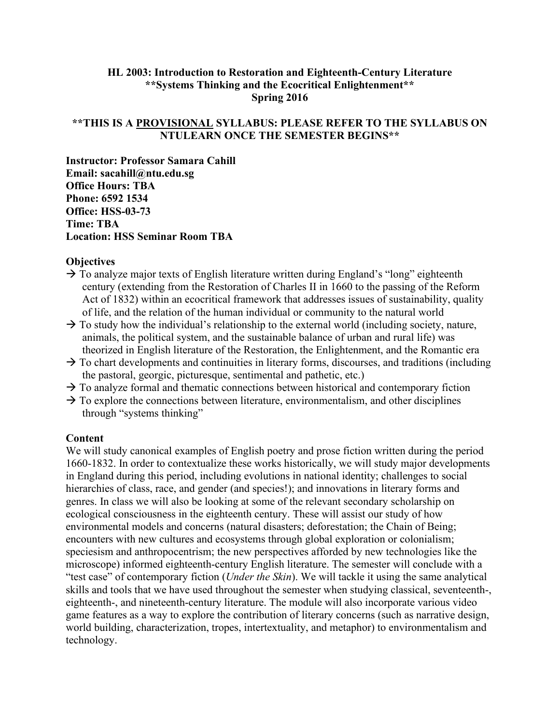### **HL 2003: Introduction to Restoration and Eighteenth-Century Literature \*\*Systems Thinking and the Ecocritical Enlightenment\*\* Spring 2016**

## **\*\*THIS IS A PROVISIONAL SYLLABUS: PLEASE REFER TO THE SYLLABUS ON NTULEARN ONCE THE SEMESTER BEGINS\*\***

**Instructor: Professor Samara Cahill Email: sacahill@ntu.edu.sg Office Hours: TBA Phone: 6592 1534 Office: HSS-03-73 Time: TBA Location: HSS Seminar Room TBA**

#### **Objectives**

- $\rightarrow$  To analyze major texts of English literature written during England's "long" eighteenth century (extending from the Restoration of Charles II in 1660 to the passing of the Reform Act of 1832) within an ecocritical framework that addresses issues of sustainability, quality of life, and the relation of the human individual or community to the natural world
- $\rightarrow$  To study how the individual's relationship to the external world (including society, nature, animals, the political system, and the sustainable balance of urban and rural life) was theorized in English literature of the Restoration, the Enlightenment, and the Romantic era
- $\rightarrow$  To chart developments and continuities in literary forms, discourses, and traditions (including the pastoral, georgic, picturesque, sentimental and pathetic, etc.)
- $\rightarrow$  To analyze formal and thematic connections between historical and contemporary fiction
- $\rightarrow$  To explore the connections between literature, environmentalism, and other disciplines through "systems thinking"

#### **Content**

We will study canonical examples of English poetry and prose fiction written during the period 1660-1832. In order to contextualize these works historically, we will study major developments in England during this period, including evolutions in national identity; challenges to social hierarchies of class, race, and gender (and species!); and innovations in literary forms and genres. In class we will also be looking at some of the relevant secondary scholarship on ecological consciousness in the eighteenth century. These will assist our study of how environmental models and concerns (natural disasters; deforestation; the Chain of Being; encounters with new cultures and ecosystems through global exploration or colonialism; speciesism and anthropocentrism; the new perspectives afforded by new technologies like the microscope) informed eighteenth-century English literature. The semester will conclude with a "test case" of contemporary fiction (*Under the Skin*). We will tackle it using the same analytical skills and tools that we have used throughout the semester when studying classical, seventeenth-, eighteenth-, and nineteenth-century literature. The module will also incorporate various video game features as a way to explore the contribution of literary concerns (such as narrative design, world building, characterization, tropes, intertextuality, and metaphor) to environmentalism and technology.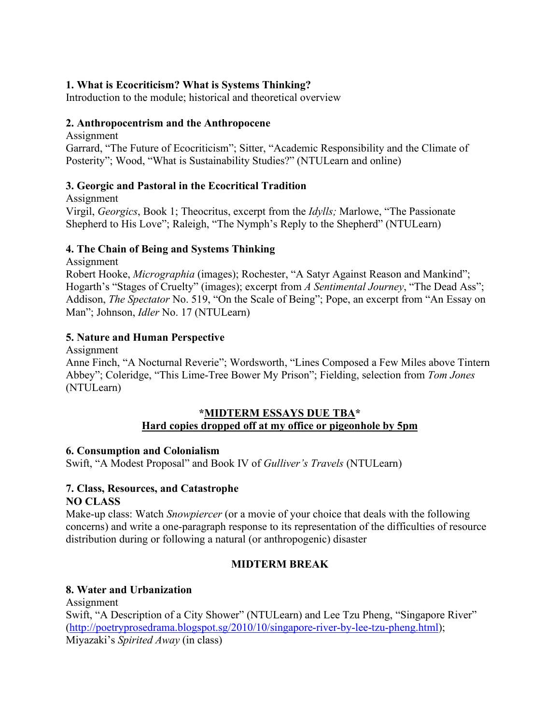# **1. What is Ecocriticism? What is Systems Thinking?**

Introduction to the module; historical and theoretical overview

### **2. Anthropocentrism and the Anthropocene**

Assignment Garrard, "The Future of Ecocriticism"; Sitter, "Academic Responsibility and the Climate of Posterity"; Wood, "What is Sustainability Studies?" (NTULearn and online)

## **3. Georgic and Pastoral in the Ecocritical Tradition**

Assignment Virgil, *Georgics*, Book 1; Theocritus, excerpt from the *Idylls;* Marlowe, "The Passionate Shepherd to His Love"; Raleigh, "The Nymph's Reply to the Shepherd" (NTULearn)

## **4. The Chain of Being and Systems Thinking**

Assignment

Robert Hooke, *Micrographia* (images); Rochester, "A Satyr Against Reason and Mankind"; Hogarth's "Stages of Cruelty" (images); excerpt from *A Sentimental Journey*, "The Dead Ass"; Addison, *The Spectator* No. 519, "On the Scale of Being"; Pope, an excerpt from "An Essay on Man"; Johnson, *Idler* No. 17 (NTULearn)

## **5. Nature and Human Perspective**

Assignment

Anne Finch, "A Nocturnal Reverie"; Wordsworth, "Lines Composed a Few Miles above Tintern Abbey"; Coleridge, "This Lime-Tree Bower My Prison"; Fielding, selection from *Tom Jones* (NTULearn)

## **\*MIDTERM ESSAYS DUE TBA\* Hard copies dropped off at my office or pigeonhole by 5pm**

## **6. Consumption and Colonialism**

Swift, "A Modest Proposal" and Book IV of *Gulliver's Travels* (NTULearn)

#### **7. Class, Resources, and Catastrophe NO CLASS**

Make-up class: Watch *Snowpiercer* (or a movie of your choice that deals with the following concerns) and write a one-paragraph response to its representation of the difficulties of resource distribution during or following a natural (or anthropogenic) disaster

## **MIDTERM BREAK**

## **8. Water and Urbanization**

Assignment Swift, "A Description of a City Shower" (NTULearn) and Lee Tzu Pheng, "Singapore River" [\(http://poetryprosedrama.blogspot.sg/2010/10/singapore-river-by-lee-tzu-pheng.html\)](http://poetryprosedrama.blogspot.sg/2010/10/singapore-river-by-lee-tzu-pheng.html); Miyazaki's *Spirited Away* (in class)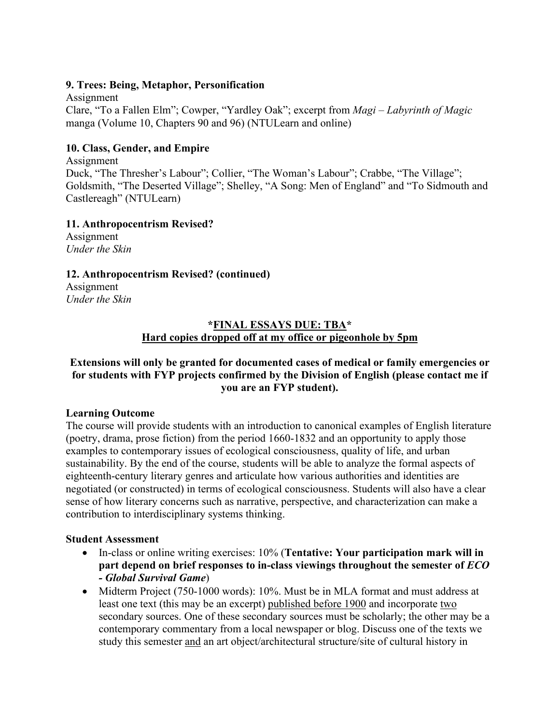#### **9. Trees: Being, Metaphor, Personification**

Assignment Clare, "To a Fallen Elm"; Cowper, "Yardley Oak"; excerpt from *Magi* – *Labyrinth of Magic* manga (Volume 10, Chapters 90 and 96) (NTULearn and online)

### **10. Class, Gender, and Empire**

Assignment Duck, "The Thresher's Labour"; Collier, "The Woman's Labour"; Crabbe, "The Village"; Goldsmith, "The Deserted Village"; Shelley, "A Song: Men of England" and "To Sidmouth and Castlereagh" (NTULearn)

**11. Anthropocentrism Revised?**

Assignment *Under the Skin*

**12. Anthropocentrism Revised? (continued)**

Assignment *Under the Skin*

# **\*FINAL ESSAYS DUE: TBA\* Hard copies dropped off at my office or pigeonhole by 5pm**

## **Extensions will only be granted for documented cases of medical or family emergencies or for students with FYP projects confirmed by the Division of English (please contact me if you are an FYP student).**

#### **Learning Outcome**

The course will provide students with an introduction to canonical examples of English literature (poetry, drama, prose fiction) from the period 1660-1832 and an opportunity to apply those examples to contemporary issues of ecological consciousness, quality of life, and urban sustainability. By the end of the course, students will be able to analyze the formal aspects of eighteenth-century literary genres and articulate how various authorities and identities are negotiated (or constructed) in terms of ecological consciousness. Students will also have a clear sense of how literary concerns such as narrative, perspective, and characterization can make a contribution to interdisciplinary systems thinking.

## **Student Assessment**

- In-class or online writing exercises: 10% (**Tentative: Your participation mark will in part depend on brief responses to in-class viewings throughout the semester of** *ECO - Global Survival Game*)
- Midterm Project (750-1000 words): 10%. Must be in MLA format and must address at least one text (this may be an excerpt) published before 1900 and incorporate two secondary sources. One of these secondary sources must be scholarly; the other may be a contemporary commentary from a local newspaper or blog. Discuss one of the texts we study this semester and an art object/architectural structure/site of cultural history in